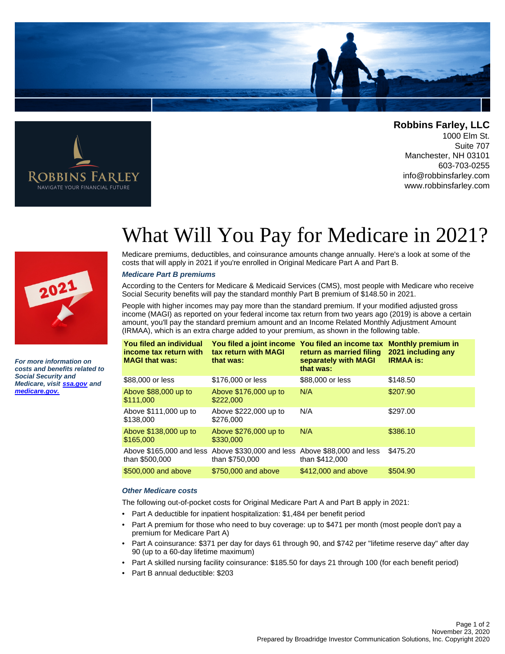

Robbins Farley NAVIGATE YOUR FINANCIAL FUTURE

**Robbins Farley, LLC**

1000 Elm St. Suite 707 Manchester, NH 03101 603-703-0255 info@robbinsfarley.com www.robbinsfarley.com



**For more information on costs and benefits related to Social Security and Medicare, visit [ssa.gov](http://www.socialsecurity.gov) and [medicare.gov.](http://www.medicare.gov)**

## What Will You Pay for Medicare in 2021?

Medicare premiums, deductibles, and coinsurance amounts change annually. Here's a look at some of the costs that will apply in 2021 if you're enrolled in Original Medicare Part A and Part B.

## **Medicare Part B premiums**

According to the Centers for Medicare & Medicaid Services (CMS), most people with Medicare who receive Social Security benefits will pay the standard monthly Part B premium of \$148.50 in 2021.

People with higher incomes may pay more than the standard premium. If your modified adjusted gross income (MAGI) as reported on your federal income tax return from two years ago (2019) is above a certain amount, you'll pay the standard premium amount and an Income Related Monthly Adjustment Amount (IRMAA), which is an extra charge added to your premium, as shown in the following table.

| You filed an individual<br>income tax return with<br><b>MAGI that was:</b> | You filed a joint income You filed an income tax<br>tax return with MAGI<br>that was: | return as married filing<br>separately with MAGI<br>that was: | <b>Monthly premium in</b><br>2021 including any<br><b>IRMAA is:</b> |
|----------------------------------------------------------------------------|---------------------------------------------------------------------------------------|---------------------------------------------------------------|---------------------------------------------------------------------|
| \$88,000 or less                                                           | \$176,000 or less                                                                     | \$88,000 or less                                              | \$148.50                                                            |
| Above \$88,000 up to<br>\$111.000                                          | Above \$176,000 up to<br>\$222,000                                                    | N/A                                                           | \$207.90                                                            |
| Above \$111,000 up to<br>\$138.000                                         | Above \$222,000 up to<br>\$276,000                                                    | N/A                                                           | \$297.00                                                            |
| Above \$138,000 up to<br>\$165,000                                         | Above \$276,000 up to<br>\$330,000                                                    | N/A                                                           | \$386.10                                                            |
| Above \$165,000 and less<br>than \$500,000                                 | Above \$330,000 and less Above \$88,000 and less<br>than \$750,000                    | than \$412,000                                                | \$475.20                                                            |
| \$500,000 and above                                                        | \$750,000 and above                                                                   | \$412,000 and above                                           | \$504.90                                                            |

## **Other Medicare costs**

The following out-of-pocket costs for Original Medicare Part A and Part B apply in 2021:

- Part A deductible for inpatient hospitalization: \$1,484 per benefit period
- Part A premium for those who need to buy coverage: up to \$471 per month (most people don't pay a premium for Medicare Part A)
- Part A coinsurance: \$371 per day for days 61 through 90, and \$742 per "lifetime reserve day" after day 90 (up to a 60-day lifetime maximum)
- Part A skilled nursing facility coinsurance: \$185.50 for days 21 through 100 (for each benefit period)
- Part B annual deductible: \$203